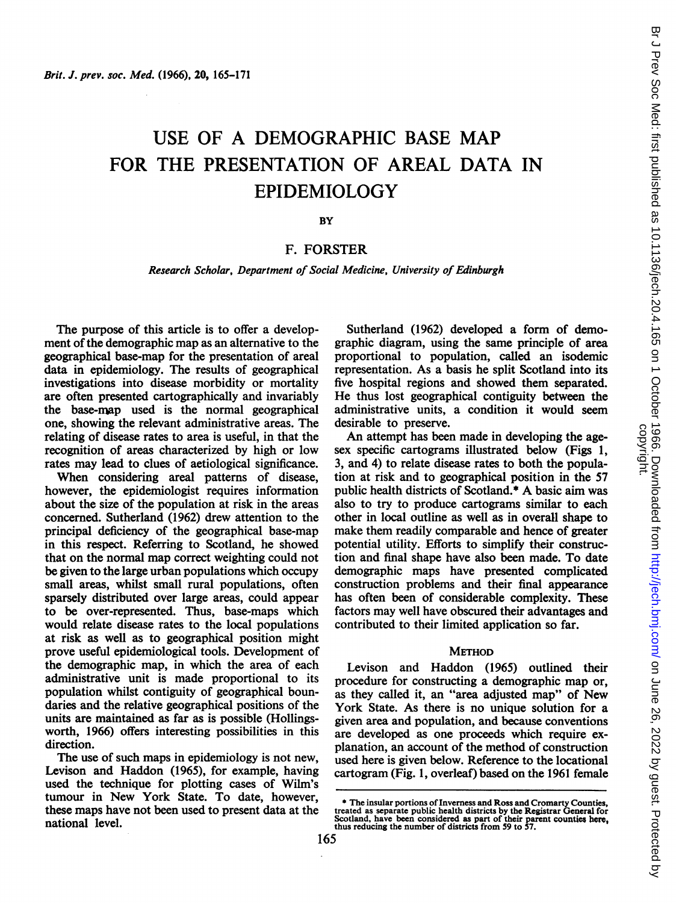# USE OF A DEMOGRAPHIC BASE MAP FOR THE PRESENTATION OF AREAL DATA IN EPIDEMIOLOGY

### **BY**

# F. FORSTER

Research Scholar, Department of Social Medicine, University of Edinburgh

The purpose of this article is to offer a development of the demographic map as an alternative to the geographical base-map for the presentation of areal data in epidemiology. The results of geographical investigations into disease morbidity or mortality are often presented cartographically and invariably the base-nap used is the normal geographical one, showing the relevant administrative areas. The relating of disease rates to area is useful, in that the recognition of areas characterized by high or low rates may lead to clues of aetiological significance.

When considering areal patterns of disease, however, the epidemiologist requires information about the size of the population at risk in the areas concerned. Sutherland (1962) drew attention to the principal deficiency of the geographical base-map in this respect. Referring to Scotland, he showed that on the normal map correct weighting could not be given to the large urban populations which occupy small areas, whilst small rural populations, often sparsely distributed over large areas, could appear to be over-represented. Thus, base-maps which would relate disease rates to the local populations at risk as well as to geographical position might prove useful epidemiological tools. Development of the demographic map, in which the area of each administrative unit is made proportional to its population whilst contiguity of geographical boundaries and the relative geographical positions of the units are maintained as far as is possible (Hollingsworth, 1966) offers interesting possibilities in this direction.

The use of such maps in epidemiology is not new, Levison and Haddon (1965), for example, having used the technique for plotting cases of Wilm's tumour in New York State. To date, however, these maps have not been used to present data at the national level.

Sutherland (1962) developed a form of demographic diagram, using the same principle of area proportional to population, called an isodemic representation. As a basis he split Scotland into its five hospital regions and showed them separated. He thus lost geographical contiguity between the administrative units, a condition it would seem desirable to preserve.

An attempt has been made in developing the agesex specific cartograms illustrated below (Figs 1, 3, and 4) to relate disease rates to both the population at risk and to geographical position in the 57 public health districts of Scotland.\* A basic aim was also to try to produce cartograms similar to each other in local outline as well as in overall shape to make them readily comparable and hence of greater potential utility. Efforts to simplify their construction and final shape have also been made. To date demographic maps have presented complicated construction problems and their final appearance has often been of considerable complexity. These factors may well have obscured their advantages and contributed to their limited application so far.

#### **METHOD**

Levison and Haddon (1965) outlined their procedure for constructing a demographic map or, as they called it, an "area adjusted map" of New York State. As there is no unique solution for a given area and population, and because conventions are developed as one proceeds which require explanation, an account of the method of construction used here is given below. Reference to the locational cartogram (Fig. 1, overleaf) based on the 1961 female

<sup>\*</sup> The insular portions of Inverness and Ross and Cromarty Counties, treated as separate public health districts by the Registrar General for Scotland, have been considered as part of their parent counties here, thus reduci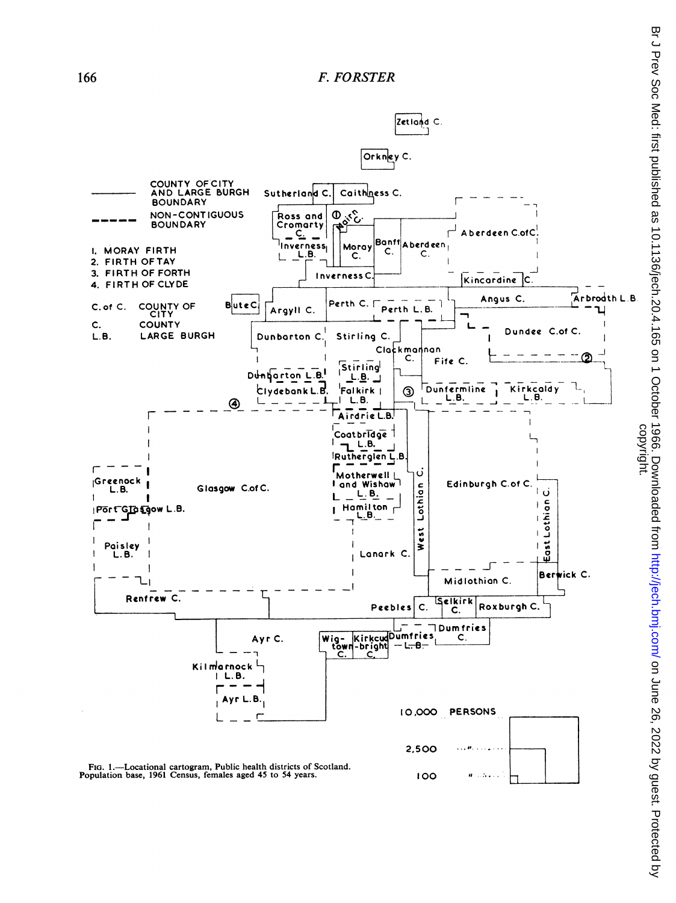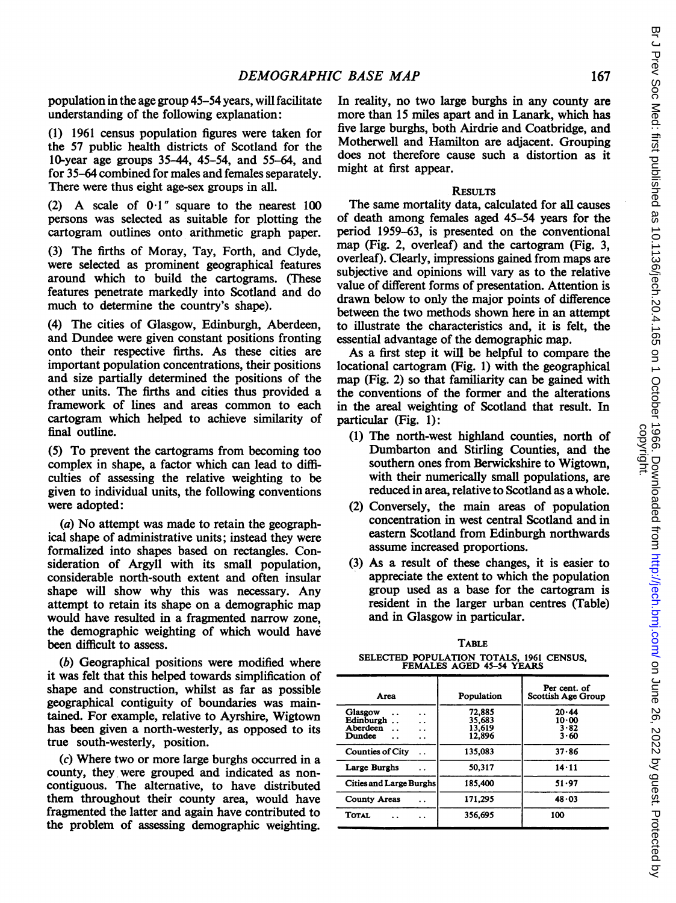population in the age group 45-54 years, will facilitate understanding of the following explanation:

(1) 1961 census population figures were taken for the 57 public health districts of Scotland for the 10-year age groups 35-44, 45-54, and 55-64, and for 35-64 combined for males and females separately. There were thus eight age-sex groups in all.

(2) A scale of  $0.1$ " square to the nearest 100 persons was selected as suitable for plotting the cartogram outlines onto arithmetic graph paper.

(3) The firths of Moray, Tay, Forth, and Clyde, were selected as prominent geographical features around which to build the cartograms. (These features penetrate markedly into Scotland and do much to determine the country's shape).

(4) The cities of Glasgow, Edinburgh, Aberdeen, and Dundee were given constant positions fronting onto their respective firths. As these cities are important population concentrations, their positions and size partially determined the positions of the other units. The firths and cities thus provided a framework of lines and areas common to each cartogram which helped to achieve similarity of final outline.

(5) To prevent the cartograms from becoming too complex in shape, a factor which can lead to difficulties of assessing the relative weighting to be given to individual units, the following conventions were adopted:

(a) No attempt was made to retain the geographical shape of administrative units; instead they were formalized into shapes based on rectangles. Consideration of Argyll with its small population, considerable north-south extent and often insular shape will show why this was necessary. Any attempt to retain its shape on a demographic map would have resulted in a fragmented narrow zone, the demographic weighting of which would have been difficult to assess.

(b) Geographical positions were modified where it was felt that this helped towards simplification of shape and construction, whilst as far as possible geographical contiguity of boundaries was maintained. For example, relative to Ayrshire, Wigtown has been given a north-westerly, as opposed to its true south-westerly, position.

(c) Where two or more large burghs occurred in a county, they were grouped and indicated as noncontiguous. The alternative, to have distributed them throughout their county area, would have fragmented the latter and again have contributed to the problem of assessing demographic weighting.

In reality, no two large burghs in any county are more than 15 miles apart and in Lanark, which has five large burghs, both Airdrie and Coatbridge, and Motherwell and Hamilton are adjacent. Grouping does not therefore cause such a distortion as it might at first appear.

#### **RESULTS**

The same mortality data, calculated for all causes of death among females aged 45-54 years for the period 1959-63, is presented on the conventional map (Fig. 2, overleaf) and the cartogram (Fig. 3, overleaf). Clearly, impressions gained from maps are subjective and opinions will vary as to the relative value of different forms of presentation. Attention is drawn below to only the major points of difference between the two methods shown here in an attempt to illustrate the characteristics and, it is felt, the essential advantage of the demographic map.

As a first step it will be helpful to compare the locational cartogram (Fig. 1) with the geographical map (Fig. 2) so that familiarity can be gained with the conventions of the former and the alterations in the areal weighting of Scotland that result. In particular (Fig. 1):

- (1) The north-west highland counties, north of Dumbarton and Stirling Counties, and the southern ones from Berwickshire to Wigtown, with their numerically small populations, are reduced in area, relative to Scotland as a whole.
- (2) Conversely, the main areas of population concentration in west central Scotland and in eastern Scotland from Edinburgh northwards assume increased proportions.
- (3) As a result of these changes, it is easier to appreciate the extent to which the population group used as a base for the cartogram is resident in the larger urban centres (Table) and in Glasgow in particular.

| <b>TABLE</b> |                                                                      |  |  |  |
|--------------|----------------------------------------------------------------------|--|--|--|
|              | SELECTED POPULATION TOTALS, 1961 CENSUS,<br>FEMALES AGED 45-54 YEARS |  |  |  |

| Area                                                                   | Population                           | Per cent. of<br>Scottish Age Group     |
|------------------------------------------------------------------------|--------------------------------------|----------------------------------------|
| Glasgow<br>. .<br>Edinburgh<br>. .<br>Aberdeen<br>. .<br>Dundee<br>. . | 72.885<br>35.683<br>13,619<br>12.896 | $20 - 44$<br>$10 - 00$<br>3.82<br>3.60 |
| <b>Counties of City</b><br>$\ddot{\phantom{1}}$                        | 135,083                              | 37.86                                  |
| Large Burghs<br>. .                                                    | 50.317                               | $14 - 11$                              |
| Cities and Large Burghs                                                | 185.400                              | 51.97                                  |
| <b>County Areas</b><br>. .                                             | 171,295                              | 48.03                                  |
| <b>TOTAL</b><br>. .                                                    | 356.695                              | 100                                    |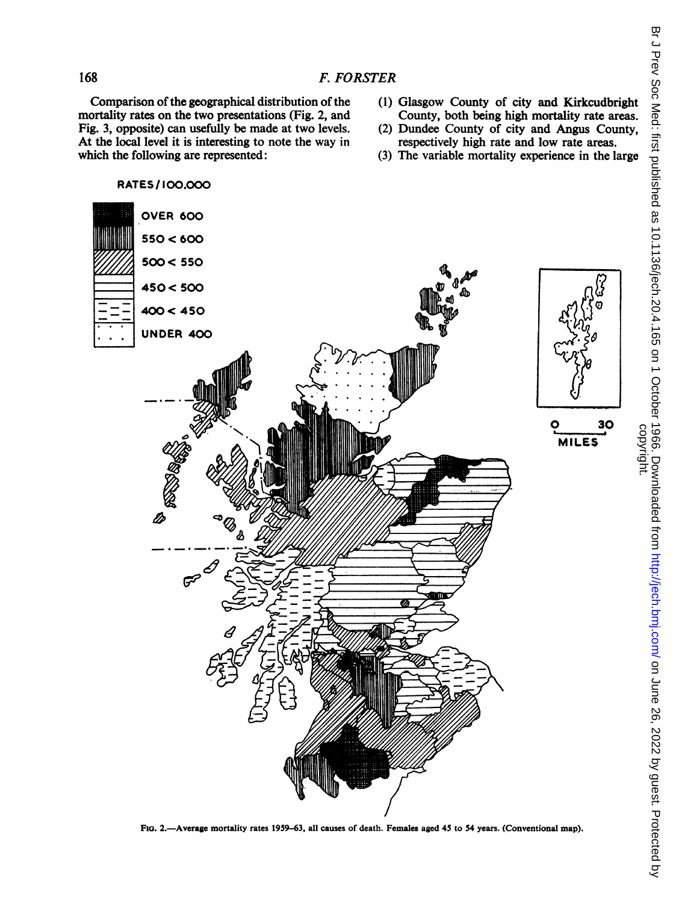Comparison of the geographical distribution of the mortality rates on the two presentations (Fig. 2, and Fig. 3, opposite) can usefully be made at two levels. At the local level it is interesting to note the way in which the following are represented:

# RATES/ 100.000



- (2) Dundee County of city and Angus County, respectively high rate and low rate areas.
- (3) The variable mortality experience in the large



FIG. 2.-Average mortality rates 1959-63, all causes of death. Females aged 45 to 54 years. (Conventional map).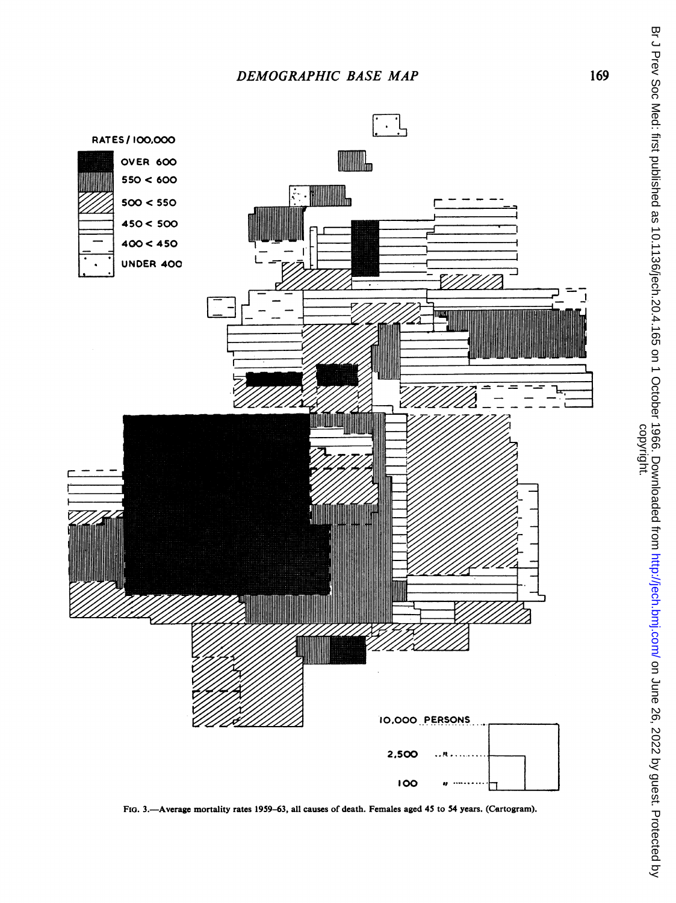

FIG. 3.-Average mortality rates 1959-63, all causes of death. Females aged 45 to 54 years. (Cartogram).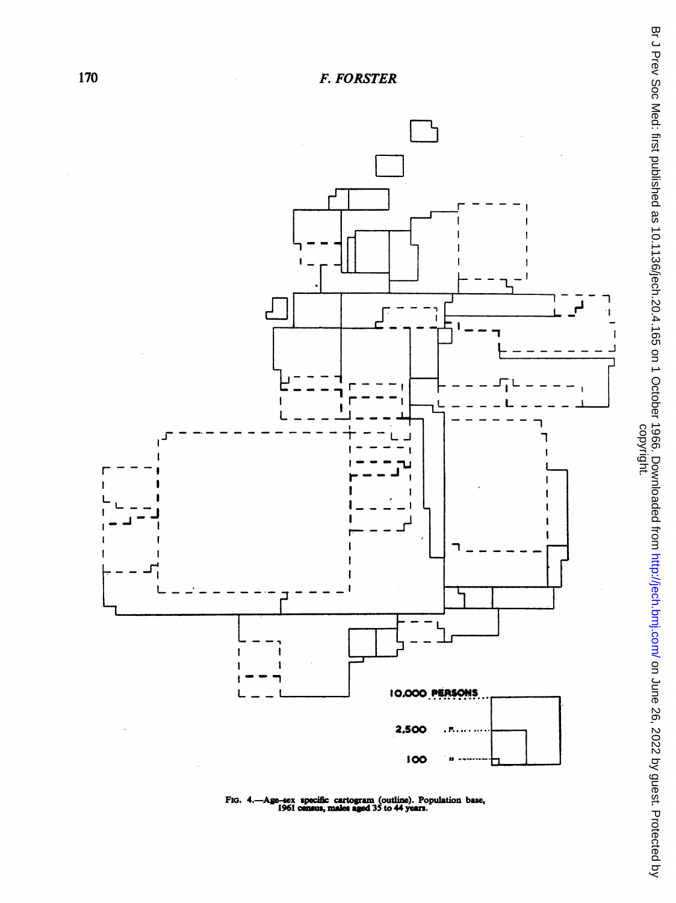